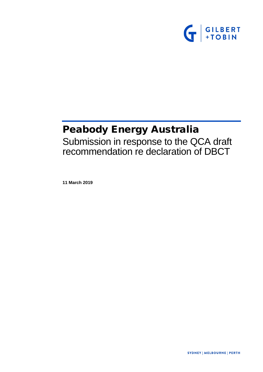

# Peabody Energy Australia

## Submission in response to the QCA draft recommendation re declaration of DBCT

**11 March 2019**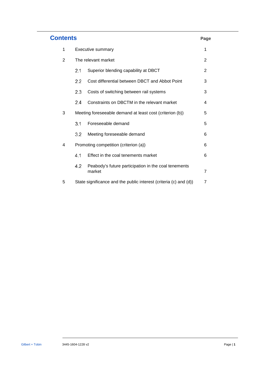| <b>Contents</b> |                                                                        |                                                                | Page           |
|-----------------|------------------------------------------------------------------------|----------------------------------------------------------------|----------------|
| 1               |                                                                        | Executive summary                                              |                |
| $\overline{2}$  | The relevant market                                                    |                                                                | $\overline{2}$ |
|                 | 2.1                                                                    | Superior blending capability at DBCT                           | $\overline{2}$ |
|                 | $2.2\,$                                                                | Cost differential between DBCT and Abbot Point                 | 3              |
|                 | 2.3                                                                    | Costs of switching between rail systems                        | 3              |
|                 | 2.4                                                                    | Constraints on DBCTM in the relevant market                    | 4              |
| 3               | Meeting foreseeable demand at least cost (criterion (b))               |                                                                | 5              |
|                 | 3.1                                                                    | Foreseeable demand                                             | 5              |
|                 | 3.2                                                                    | Meeting foreseeable demand                                     | 6              |
| 4               | Promoting competition (criterion (a))                                  |                                                                | 6              |
|                 | 4.1                                                                    | Effect in the coal tenements market                            | 6              |
|                 | 4.2                                                                    | Peabody's future participation in the coal tenements<br>market | 7              |
| 5               | State significance and the public interest (criteria (c) and (d))<br>7 |                                                                |                |

.....................................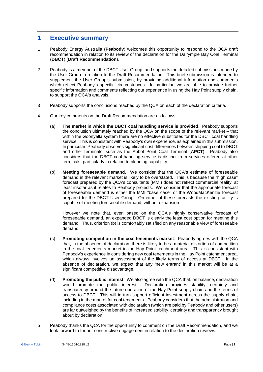### **1 Executive summary**

- 1 Peabody Energy Australia (**Peabody**) welcomes this opportunity to respond to the QCA draft recommendation in relation to its review of the declaration for the Dalrymple Bay Coal Terminal (**DBCT**) (**Draft Recommendation**).
- 2 Peabody is a member of the DBCT User Group, and supports the detailed submissions made by the User Group in relation to the Draft Recommendation. This brief submission is intended to supplement the User Group's submission, by providing additional information and comments which reflect Peabody's specific circumstances. In particular, we are able to provide further specific information and comments reflecting our experience in using the Hay Point supply chain, to support the QCA's analysis.
- 3 Peabody supports the conclusions reached by the QCA on each of the declaration criteria.
- 4 Our key comments on the Draft Recommendation are as follows:
	- (a) **The market in which the DBCT coal handling service is provided**. Peabody supports the conclusion ultimately reached by the QCA on the scope of the relevant market – that within the Goonyella system there are no effective substitutes for the DBCT coal handling service. This is consistent with Peabody's own experience, as explained in this submission. In particular, Peabody observes significant cost differences between shipping coal to DBCT and other terminals, such as the Abbot Point Coal Terminal (**APCT**). Peabody also considers that the DBCT coal handling service is distinct from services offered at other terminals, particularly in relation to blending capability.
	- (b) **Meeting foreseeable demand**. We consider that the QCA's estimate of foreseeable demand in the relevant market is likely to be overstated. This is because the "high case" forecast prepared by the QCA's consultants (MMI) does not reflect commercial reality, at least insofar as it relates to Peabody projects. We consider that the appropriate forecast of foreseeable demand is either the MMI "base case" or the WoodMacKenzie forecast prepared for the DBCT User Group. On either of these forecasts the existing facility is capable of meeting foreseeable demand, without expansion.

However we note that, even based on the QCA's highly conservative forecast of foreseeable demand, an expanded DBCT is clearly the least cost option for meeting this demand. Thus, criterion (b) is comfortably satisfied on any reasonable view of foreseeable demand.

- (c) **Promoting competition in the coal tenements market**. Peabody agrees with the QCA that, in the absence of declaration, there is likely to be a material distortion of competition in the coal tenements market in the Hay Point catchment area. This is consistent with Peabody's experience in considering new coal tenements in the Hay Point catchment area, which always involves an assessment of the likely terms of access at DBCT. In the absence of declaration, we expect that any 'new entrant' in this market will be at a significant competitive disadvantage.
- (d) **Promoting the public interest**. We also agree with the QCA that, on balance, declaration Declaration provides stability, certainty and transparency around the future operation of the Hay Point supply chain and the terms of access to DBCT. This will in turn support efficient investment across the supply chain, including in the market for coal tenements. Peabody considers that the administration and compliance costs associated with declaration (which are paid by Peabody and other users) are far outweighed by the benefits of increased stability, certainty and transparency brought about by declaration.
- 5 Peabody thanks the QCA for the opportunity to comment on the Draft Recommendation, and we look forward to further constructive engagement in relation to the declaration reviews.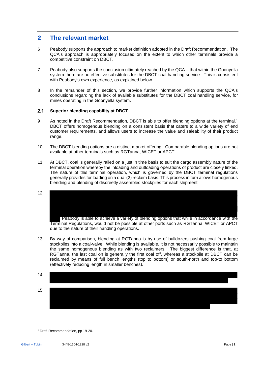### **2 The relevant market**

- 6 Peabody supports the approach to market definition adopted in the Draft Recommendation. The QCA's approach is appropriately focused on the extent to which other terminals provide a competitive constraint on DBCT.
- 7 Peabody also supports the conclusion ultimately reached by the QCA that within the Goonyella system there are no effective substitutes for the DBCT coal handling service. This is consistent with Peabody's own experience, as explained below.
- 8 In the remainder of this section, we provide further information which supports the QCA's conclusions regarding the lack of available substitutes for the DBCT coal handling service, for mines operating in the Goonyella system.

### $2.1$ **Superior blending capability at DBCT**

- 9 As noted in the Draft Recommendation, DBCT is able to offer blending options at the terminal.<sup>1</sup> DBCT offers homogenous blending on a consistent basis that caters to a wide variety of end customer requirements, and allows users to increase the value and saleability of their product range.
- 10 The DBCT blending options are a distinct market offering. Comparable blending options are not available at other terminals such as RGTanna, WICET or APCT.
- 11 At DBCT, coal is generally railed on a just in time basis to suit the cargo assembly nature of the terminal operation whereby the inloading and outloading operations of product are closely linked. The nature of this terminal operation, which is governed by the DBCT terminal regulations generally provides for loading on a dual (2) reclaim basis. This process in turn allows homogenous blending and blending of discreetly assembled stockpiles for each shipment
- 12

Peabody is able to achieve a variety of blending options that while in accordance with the Terminal Regulations, would not be possible at other ports such as RGTanna, WICET or APCT due to the nature of their handling operations.

13 By way of comparison, blending at RGTanna is by use of bulldozers pushing coal from large stockpiles into a coal-valve. While blending is available, it is not necessarily possible to maintain the same homogenous blending as with two reclaimers. The biggest difference is that, at RGTanna, the last coal on is generally the first coal off, whereas a stockpile at DBCT can be reclaimed by means of full bench lengths (top to bottom) or south-north and top-to bottom (effectively reducing length in smaller benches).



<span id="page-3-0"></span><sup>1</sup> Draft Recommendation, pp 19-20.

-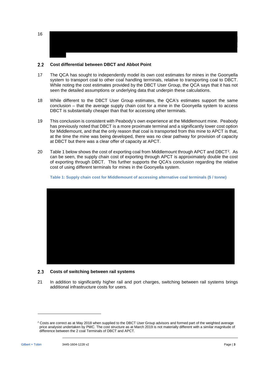16

#### $2.2$ **Cost differential between DBCT and Abbot Point**

- 17 The QCA has sought to independently model its own cost estimates for mines in the Goonyella system to transport coal to other coal handling terminals, relative to transporting coal to DBCT. While noting the cost estimates provided by the DBCT User Group, the QCA says that it has not seen the detailed assumptions or underlying data that underpin these calculations.
- 18 While different to the DBCT User Group estimates, the QCA's estimates support the same conclusion – that the average supply chain cost for a mine in the Goonyella system to access DBCT is substantially cheaper than that for accessing other terminals.
- 19 This conclusion is consistent with Peabody's own experience at the Middlemount mine. Peabody has previously noted that DBCT is a more proximate terminal and a significantly lower cost option for Middlemount, and that the only reason that coal is transported from this mine to APCT is that, at the time the mine was being developed, there was no clear pathway for provision of capacity at DBCT but there was a clear offer of capacity at APCT.
- 20 [Table 1](#page-4-0) below shows the cost of exporting coal from Middlemount through APCT and DBCT<sup>[2](#page-4-1)</sup>. As can be seen, the supply chain cost of exporting through APCT is approximately double the cost of exporting through DBCT. This further supports the QCA's conclusion regarding the relative cost of using different terminals for mines in the Goonyella system.

**Table 1: Supply chain cost for Middlemount of accessing alternative coal terminals (\$ / tonne)** 

<span id="page-4-0"></span>

#### $2.3$ **Costs of switching between rail systems**

21 In addition to significantly higher rail and port charges, switching between rail systems brings additional infrastructure costs for users.

-

<span id="page-4-1"></span><sup>&</sup>lt;sup>2</sup> Costs are correct as at May 2018 when supplied to the DBCT User Group advisors and formed part of the weighted average price analysist undertaken by PWC. The cost structure as at March 2019 is not materially different with a similar magnitude of difference between the 2 coal Terminals of DBCT and APCT.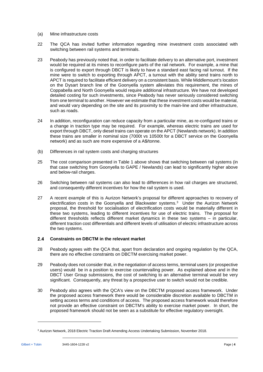- (a) Mine infrastructure costs
- 22 The QCA has invited further information regarding mine investment costs associated with switching between rail systems and terminals.
- 23 Peabody has previously noted that, in order to facilitate delivery to an alternative port, investment would be required at its mines to reconfigure parts of the rail network. For example, a mine that is configured to export through DBCT is likely to have a standard east facing rail turnout. If the mine were to switch to exporting through APCT, a turnout with the ability send trains north to APCT is required to facilitate efficient delivery on a consistent basis. While Middlemount's location on the Dysart branch line of the Goonyella system alleviates this requirement, the mines of Coppabella and North Goonyella would require additional infrastructure. We have not developed detailed costing for such investments, since Peabody has never seriously considered switching from one terminal to another. However we estimate that these investment costs would be material, and would vary depending on the site and its proximity to the main-line and other infrastructure, such as roads.
- 24 In addition, reconfiguration can reduce capacity from a particular mine, as re-configured trains or a change in traction type may be required. For example, whereas electric trains are used for export through DBCT, only diesel trains can operate on the APCT (Newlands network). In addition these trains are smaller in nominal size (7000t vs 10500t for a DBCT service on the Goonyella network) and as such are more expensive of a A\$/tonne.
- (b) Differences in rail system costs and charging structures
- 25 The cost comparison presented in [Table 1](#page-4-0) above shows that switching between rail systems (in that case switching from Goonyella to GAPE / Newlands) can lead to significantly higher above and below-rail charges.
- 26 Switching between rail systems can also lead to differences in how rail charges are structured, and consequently different incentives for how the rail system is used.
- 27 A recent example of this is Aurizon Network's proposal for different approaches to recovery of electrification costs in the Goonyella and Blackwater systems.[3](#page-5-0) Under the Aurizon Network proposal, the threshold for socialisation of electrification costs would be materially different in these two systems, leading to different incentives for use of electric trains. The proposal for different thresholds reflects different market dynamics in these two systems – in particular, different traction cost differentials and different levels of utilisation of electric infrastructure across the two systems.

### $2.4$ **Constraints on DBCTM in the relevant market**

- 28 Peabody agrees with the QCA that, apart from declaration and ongoing regulation by the QCA, there are no effective constraints on DBCTM exercising market power.
- 29 Peabody does not consider that, in the negotiation of access terms, terminal users (or prospective users) would be in a position to exercise countervailing power. As explained above and in the DBCT User Group submissions, the cost of switching to an alternative terminal would be very significant. Consequently, any threat by a prospective user to switch would not be credible.
- 30 Peabody also agrees with the QCA's view on the DBCTM proposed access framework. Under the proposed access framework there would be considerable discretion available to DBCTM in setting access terms and conditions of access. The proposed access framework would therefore not provide an effective constraint on DBCTM's ability to exercise market power. In short, the proposed framework should not be seen as a substitute for effective regulatory oversight.

-

<span id="page-5-0"></span>

<sup>3</sup> Aurizon Network, 2018 Electric Traction Draft Amending Access Undertaking Submission, November 2018.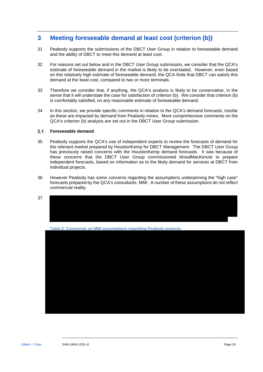### **3 Meeting foreseeable demand at least cost (criterion (b))**

- 31 Peabody supports the submissions of the DBCT User Group in relation to foreseeable demand and the ability of DBCT to meet this demand at least cost.
- 32 For reasons set out below and in the DBCT User Group submission, we consider that the QCA's estimate of foreseeable demand in the market is likely to be overstated. However, even based on this relatively high estimate of foreseeable demand, the QCA finds that DBCT can satisfy this demand at the least cost, compared to two or more terminals.
- 33 Therefore we consider that, if anything, the QCA's analysis is likely to be conservative, in the sense that it will understate the case for satisfaction of criterion (b). We consider that criterion (b) is comfortably satisfied, on any reasonable estimate of foreseeable demand.
- 34 In this section, we provide specific comments in relation to the QCA's demand forecasts, insofar as these are impacted by demand from Peabody mines. More comprehensive comments on the QCA's criterion (b) analysis are set out in the DBCT User Group submission.

### $3.1$ **Foreseeable demand**

- 35 Peabody supports the QCA's use of independent experts to review the forecasts of demand for the relevant market prepared by HoustonKemp for DBCT Management. The DBCT User Group has previously raised concerns with the HoustonKemp demand forecasts. It was because of these concerns that the DBCT User Group commissioned WoodMacKenzie to prepare independent forecasts, based on information as to the likely demand for services at DBCT from individual projects.
- 36 However Peabody has some concerns regarding the assumptions underpinning the "high case" forecasts prepared by the QCA's consultants, MMI. A number of these assumptions do not reflect commercial reality.

37

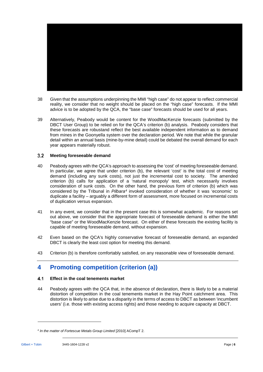

- 38 Given that the assumptions underpinning the MMI "high case" do not appear to reflect commercial reality, we consider that no weight should be placed on the "high case" forecasts. If the MMI advice is to be adopted by the QCA, the "base case" forecasts should be used for all years.
- 39 Alternatively, Peabody would be content for the WoodMacKenzie forecasts (submitted by the DBCT User Group) to be relied on for the QCA's criterion (b) analysis. Peabody considers that these forecasts are robustand reflect the best available independent information as to demand from mines in the Goonyella system over the declaration period. We note that while the granular detail within an annual basis (mine-by-mine detail) could be debated the overall demand for each year appears materially robust.

#### $3.2$ **Meeting foreseeable demand**

- 40 Peabody agrees with the QCA's approach to assessing the 'cost' of meeting foreseeable demand. In particular, we agree that under criterion (b), the relevant 'cost' is the total cost of meeting demand (including any sunk costs), not just the incremental cost to society. The amended criterion (b) calls for application of a 'natural monopoly' test, which necessarily involves consideration of sunk costs. On the other hand, the previous form of criterion (b) which was considered by the Tribunal in *Pilbara[4](#page-7-0)* invoked consideration of whether it was 'economic' to duplicate a facility – arguably a different form of assessment, more focused on incremental costs of duplication versus expansion.
- 41 In any event, we consider that in the present case this is somewhat academic. For reasons set out above, we consider that the appropriate forecast of foreseeable demand is either the MMI "base case" or the WoodMacKenzie forecast. On either of these forecasts the existing facility is capable of meeting foreseeable demand, without expansion.
- 42 Even based on the QCA's highly conservative forecast of foreseeable demand, an expanded DBCT is clearly the least cost option for meeting this demand.
- 43 Criterion (b) is therefore comfortably satisfied, on any reasonable view of foreseeable demand.

### **4 Promoting competition (criterion (a))**

### $4.1$ **Effect in the coal tenements market**

44 Peabody agrees with the QCA that, in the absence of declaration, there is likely to be a material distortion of competition in the coal tenements market in the Hay Point catchment area. This distortion is likely to arise due to a disparity in the terms of access to DBCT as between 'incumbent users' (i.e. those with existing access rights) and those needing to acquire capacity at DBCT.

-

<span id="page-7-0"></span>

<sup>4</sup> *In the matter of Fortescue Metals Group Limited* [2010] ACompT 2.